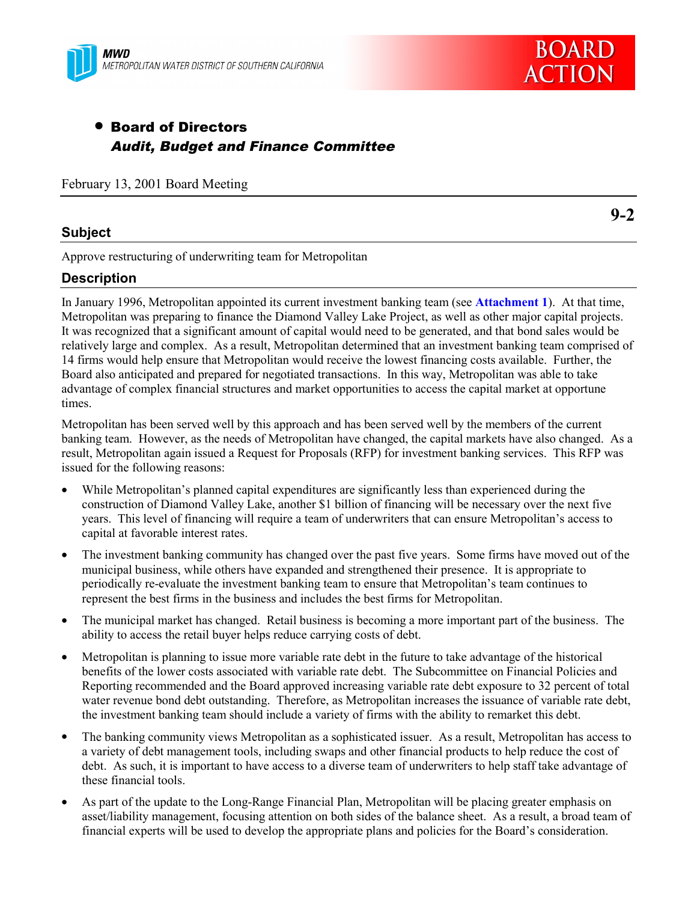

# • Board of Directors Audit, Budget and Finance Committee

February 13, 2001 Board Meeting

## **Subject**

Approve restructuring of underwriting team for Metropolitan

## **Description**

In January 1996, Metropolitan appointed its current investment banking team (see **Attachment 1**). At that time, Metropolitan was preparing to finance the Diamond Valley Lake Project, as well as other major capital projects. It was recognized that a significant amount of capital would need to be generated, and that bond sales would be relatively large and complex. As a result, Metropolitan determined that an investment banking team comprised of 14 firms would help ensure that Metropolitan would receive the lowest financing costs available. Further, the Board also anticipated and prepared for negotiated transactions. In this way, Metropolitan was able to take advantage of complex financial structures and market opportunities to access the capital market at opportune times.

Metropolitan has been served well by this approach and has been served well by the members of the current banking team. However, as the needs of Metropolitan have changed, the capital markets have also changed. As a result, Metropolitan again issued a Request for Proposals (RFP) for investment banking services. This RFP was issued for the following reasons:

- While Metropolitan's planned capital expenditures are significantly less than experienced during the construction of Diamond Valley Lake, another \$1 billion of financing will be necessary over the next five years. This level of financing will require a team of underwriters that can ensure Metropolitan's access to capital at favorable interest rates.
- The investment banking community has changed over the past five years. Some firms have moved out of the municipal business, while others have expanded and strengthened their presence. It is appropriate to periodically re-evaluate the investment banking team to ensure that Metropolitan's team continues to represent the best firms in the business and includes the best firms for Metropolitan.
- The municipal market has changed. Retail business is becoming a more important part of the business. The ability to access the retail buyer helps reduce carrying costs of debt.
- Metropolitan is planning to issue more variable rate debt in the future to take advantage of the historical benefits of the lower costs associated with variable rate debt. The Subcommittee on Financial Policies and Reporting recommended and the Board approved increasing variable rate debt exposure to 32 percent of total water revenue bond debt outstanding. Therefore, as Metropolitan increases the issuance of variable rate debt, the investment banking team should include a variety of firms with the ability to remarket this debt.
- The banking community views Metropolitan as a sophisticated issuer. As a result, Metropolitan has access to a variety of debt management tools, including swaps and other financial products to help reduce the cost of debt. As such, it is important to have access to a diverse team of underwriters to help staff take advantage of these financial tools.
- As part of the update to the Long-Range Financial Plan, Metropolitan will be placing greater emphasis on asset/liability management, focusing attention on both sides of the balance sheet. As a result, a broad team of financial experts will be used to develop the appropriate plans and policies for the Board's consideration.

**9-2**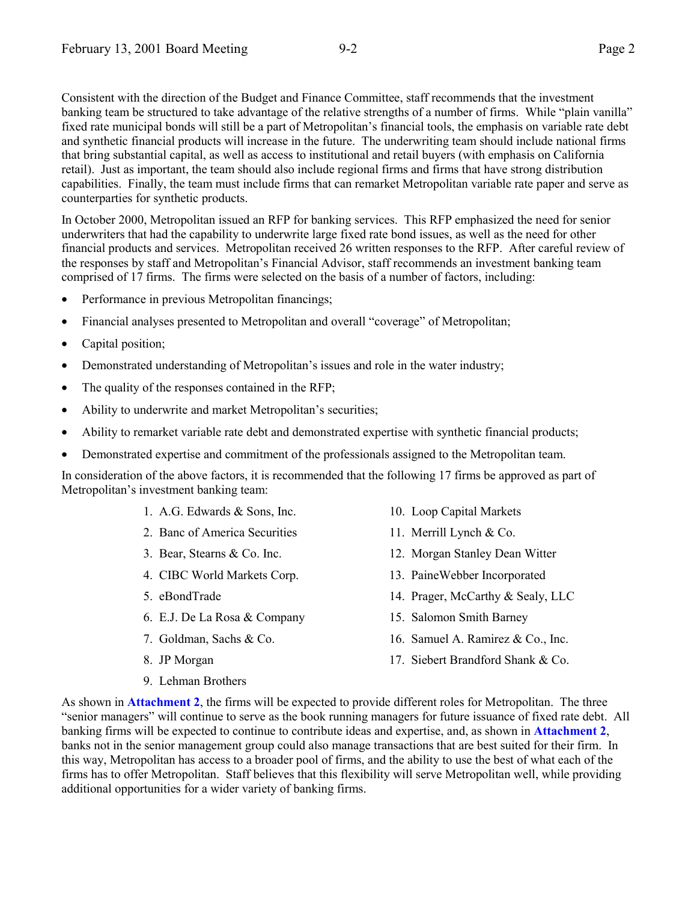Consistent with the direction of the Budget and Finance Committee, staff recommends that the investment banking team be structured to take advantage of the relative strengths of a number of firms. While "plain vanilla" fixed rate municipal bonds will still be a part of Metropolitan's financial tools, the emphasis on variable rate debt and synthetic financial products will increase in the future. The underwriting team should include national firms that bring substantial capital, as well as access to institutional and retail buyers (with emphasis on California retail). Just as important, the team should also include regional firms and firms that have strong distribution capabilities. Finally, the team must include firms that can remarket Metropolitan variable rate paper and serve as counterparties for synthetic products.

In October 2000, Metropolitan issued an RFP for banking services. This RFP emphasized the need for senior underwriters that had the capability to underwrite large fixed rate bond issues, as well as the need for other financial products and services. Metropolitan received 26 written responses to the RFP. After careful review of the responses by staff and Metropolitan's Financial Advisor, staff recommends an investment banking team comprised of 17 firms. The firms were selected on the basis of a number of factors, including:

- Performance in previous Metropolitan financings;
- Financial analyses presented to Metropolitan and overall "coverage" of Metropolitan;
- Capital position;
- Demonstrated understanding of Metropolitan's issues and role in the water industry;
- The quality of the responses contained in the RFP;
- Ability to underwrite and market Metropolitan's securities;
- Ability to remarket variable rate debt and demonstrated expertise with synthetic financial products;
- Demonstrated expertise and commitment of the professionals assigned to the Metropolitan team.

In consideration of the above factors, it is recommended that the following 17 firms be approved as part of Metropolitan's investment banking team:

- 1. A.G. Edwards & Sons, Inc. 10. Loop Capital Markets
- 2. Banc of America Securities 11. Merrill Lynch & Co.
- 
- 
- 
- 6. E.J. De La Rosa & Company 15. Salomon Smith Barney
- 
- -
- 
- 
- 3. Bear, Stearns & Co. Inc. 12. Morgan Stanley Dean Witter
- 4. CIBC World Markets Corp. 13. PaineWebber Incorporated
- 5. eBondTrade 14. Prager, McCarthy & Sealy, LLC
	-
- 7. Goldman, Sachs & Co. 16. Samuel A. Ramirez & Co., Inc.
- 8. JP Morgan 17. Siebert Brandford Shank & Co.
- 9. Lehman Brothers

As shown in **Attachment 2**, the firms will be expected to provide different roles for Metropolitan. The three "senior managers" will continue to serve as the book running managers for future issuance of fixed rate debt. All banking firms will be expected to continue to contribute ideas and expertise, and, as shown in **Attachment 2**, banks not in the senior management group could also manage transactions that are best suited for their firm. In this way, Metropolitan has access to a broader pool of firms, and the ability to use the best of what each of the firms has to offer Metropolitan. Staff believes that this flexibility will serve Metropolitan well, while providing additional opportunities for a wider variety of banking firms.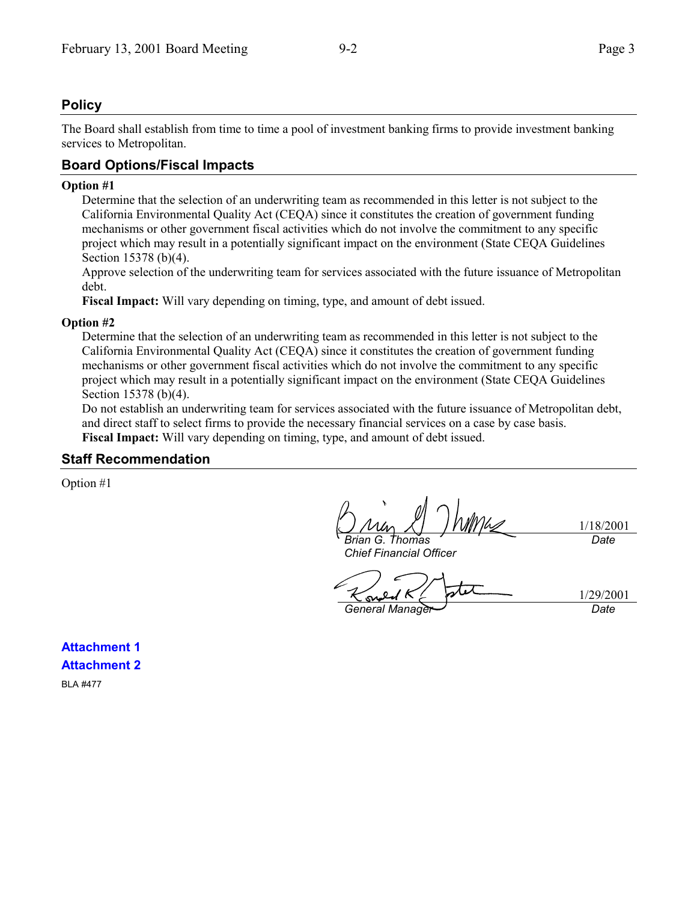## **Policy**

The Board shall establish from time to time a pool of investment banking firms to provide investment banking services to Metropolitan.

## **Board Options/Fiscal Impacts**

#### **Option #1**

Determine that the selection of an underwriting team as recommended in this letter is not subject to the California Environmental Quality Act (CEQA) since it constitutes the creation of government funding mechanisms or other government fiscal activities which do not involve the commitment to any specific project which may result in a potentially significant impact on the environment (State CEQA Guidelines Section 15378 (b)(4).

Approve selection of the underwriting team for services associated with the future issuance of Metropolitan debt.

**Fiscal Impact:** Will vary depending on timing, type, and amount of debt issued.

#### **Option #2**

Determine that the selection of an underwriting team as recommended in this letter is not subject to the California Environmental Quality Act (CEQA) since it constitutes the creation of government funding mechanisms or other government fiscal activities which do not involve the commitment to any specific project which may result in a potentially significant impact on the environment (State CEQA Guidelines Section 15378 (b)(4).

Do not establish an underwriting team for services associated with the future issuance of Metropolitan debt, and direct staff to select firms to provide the necessary financial services on a case by case basis. **Fiscal Impact:** Will vary depending on timing, type, and amount of debt issued.

#### **Staff Recommendation**

Option #1

1/18/2001 *Brian G. Thomas Date*

*General Manager Date*

*Chief Financial Officer*

s

1/29/2001

**Attachment 1 Attachment 2** BLA #477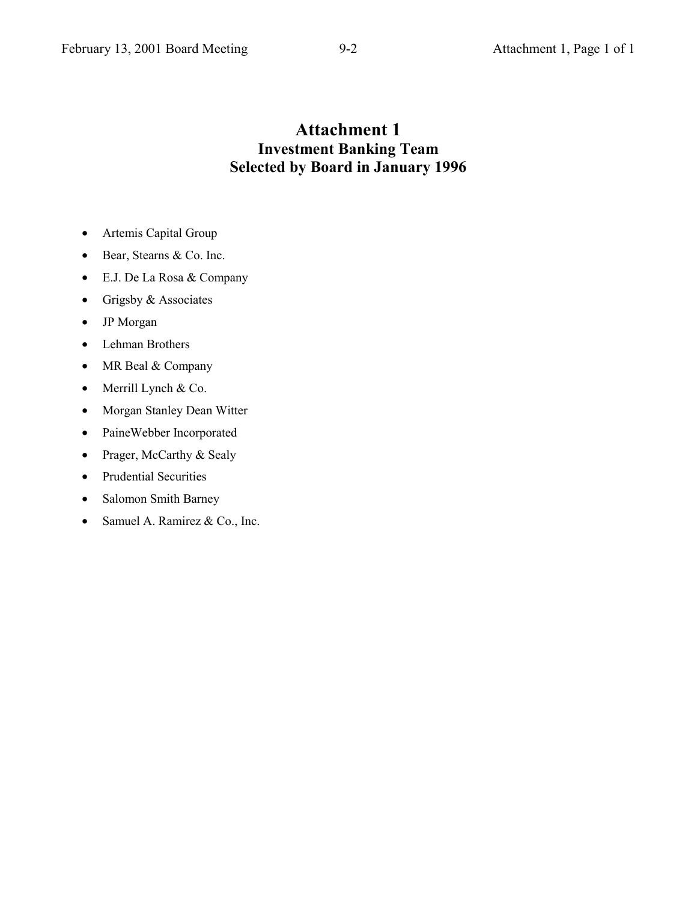# **Attachment 1 Investment Banking Team Selected by Board in January 1996**

- Artemis Capital Group
- Bear, Stearns & Co. Inc.
- E.J. De La Rosa & Company
- Grigsby & Associates
- JP Morgan
- Lehman Brothers
- MR Beal & Company
- Merrill Lynch & Co.
- Morgan Stanley Dean Witter
- PaineWebber Incorporated
- Prager, McCarthy & Sealy
- Prudential Securities
- Salomon Smith Barney
- Samuel A. Ramirez & Co., Inc.